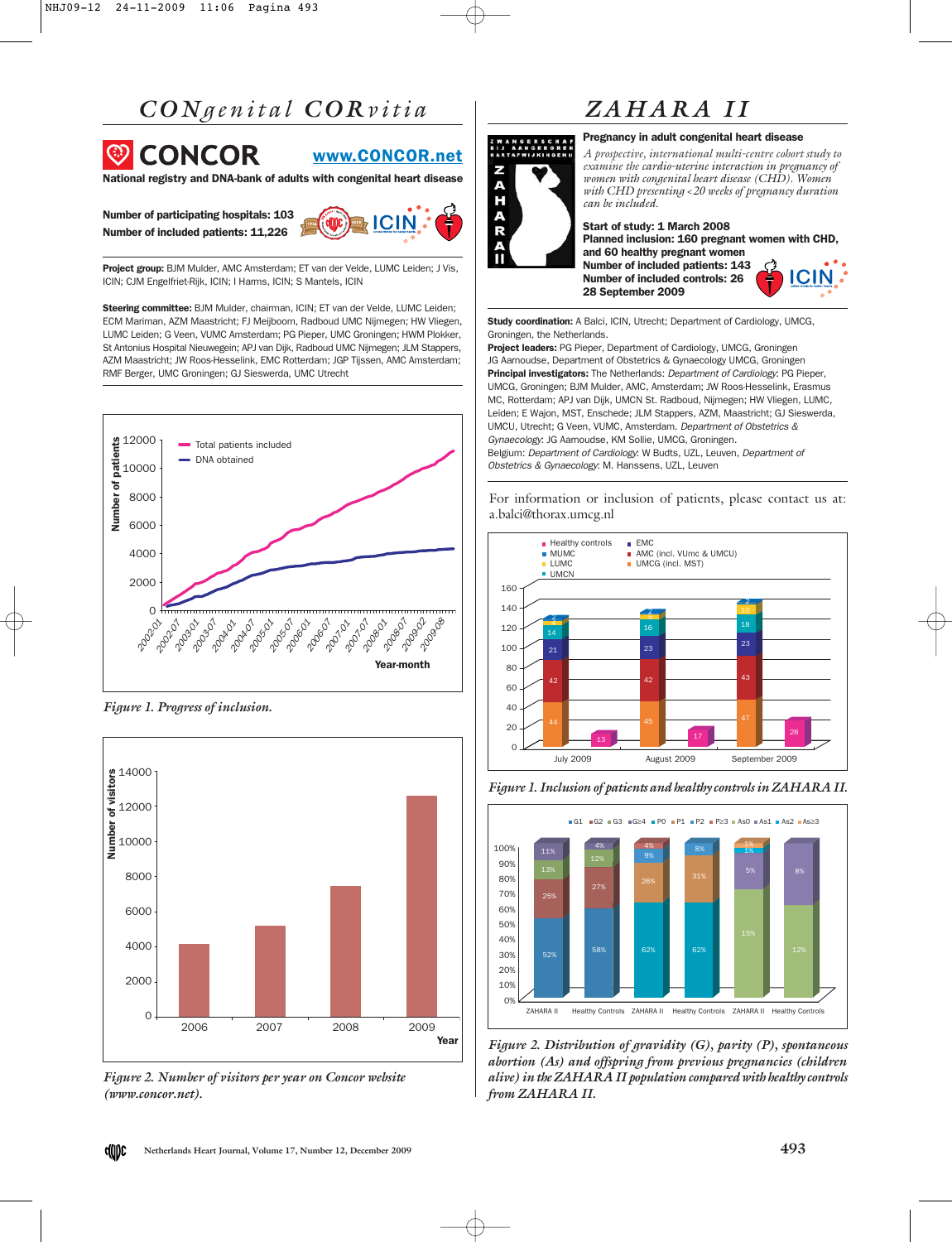### *CON genital COR vitia*



National registry and DNA-bank of adults with congenital heart disease

Number of participating hospitals: 103 Number of included patients: 11,226



Project group: BJM Mulder, AMC Amsterdam; ET van der Velde, LUMC Leiden; J Vis, ICIN; CJM Engelfriet-Rijk, ICIN; I Harms, ICIN; S Mantels, ICIN

Steering committee: BJM Mulder, chairman, ICIN; ET van der Velde, LUMC Leiden; ECM Mariman, AZM Maastricht; FJ Meijboom, Radboud UMC Nijmegen; HW Vliegen, LUMC Leiden; G Veen, VUMC Amsterdam; PG Pieper, UMC Groningen; HWM Plokker, St Antonius Hospital Nieuwegein; APJ van Dijk, Radboud UMC Nijmegen; JLM Stappers, AZM Maastricht; JW Roos-Hesselink, EMC Rotterdam; JGP Tijssen, AMC Amsterdam; RMF Berger, UMC Groningen; GJ Sieswerda, UMC Utrecht



*Figure 1. Progress of inclusion.*



*Figure 2. Number of visitors per year on Concor website (www.concor.net).* 

# *ZAHARA II*

#### Pregnancy in adult congenital heart disease



WWW.CONCOR.net<br>
with congenital heart disease<br>
with Comparison in the cardio-uterine interaction in pregnancy of<br>
with CHD. Women<br>
with CHD and the included.<br>
Start of study: 1 March 2008 *can be included.* Start of study: 1 March 2008 Planned inclusion: 160 pregnant women with CHD, and 60 healthy pregnant women Number of included patients: 143

*examine the cardio-uterine interaction in pregnancy of women with congenital heart disease (CHD). Women with CHD presenting <20 weeks of pregnancy duration*



Study coordination: A Balci, ICIN, Utrecht; Department of Cardiology, UMCG, Groningen, the Netherlands.

28 September 2009

Project leaders: PG Pieper, Department of Cardiology, UMCG, Groningen JG Aarnoudse, Department of Obstetrics & Gynaecology UMCG, Groningen Principal investigators: The Netherlands: Department of Cardiology: PG Pieper, UMCG, Groningen; BJM Mulder, AMC, Amsterdam; JW Roos-Hesselink, Erasmus MC, Rotterdam; APJ van Dijk, UMCN St. Radboud, Nijmegen; HW Vliegen, LUMC, Leiden; E Wajon, MST, Enschede; JLM Stappers, AZM, Maastricht; GJ Sieswerda, UMCU, Utrecht; G Veen, VUMC, Amsterdam. Department of Obstetrics & Gynaecology: JG Aarnoudse, KM Sollie, UMCG, Groningen. Belgium: Department of Cardiology: W Budts, UZL, Leuven, Department of Obstetrics & Gynaecology: M. Hanssens, UZL, Leuven

For information or inclusion of patients, please contact us at: a.balci@thorax.umcg.nl



*Figure 1. Inclusion of patients and healthy controls in ZAHARA II.*



*Figure 2. Distribution of gravidity (G), parity (P), spontaneous abortion (As) and offspring from previous pregnancies (children alive) in the ZAHARA II population compared with healthy controls from ZAHARA II.*

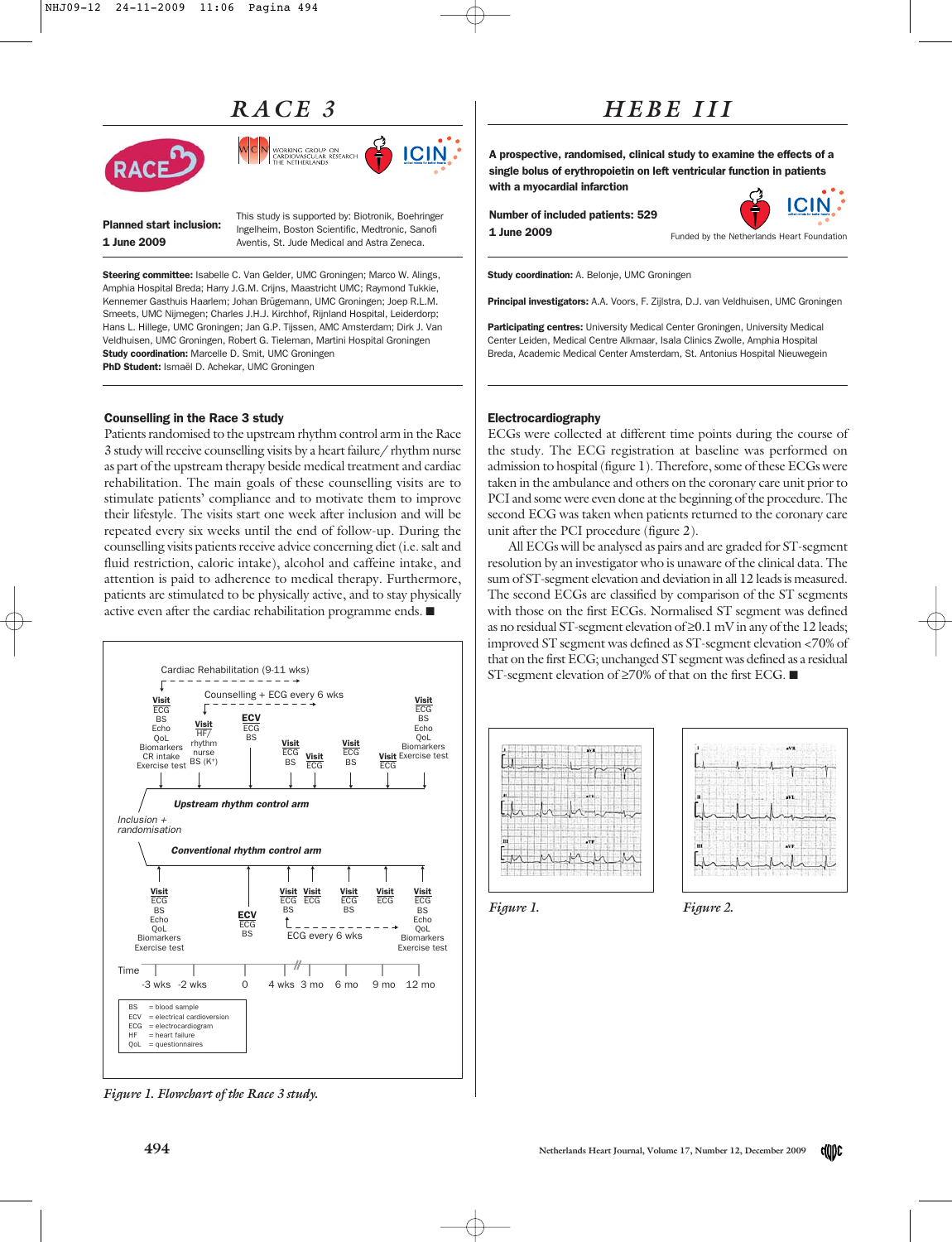### *RACE 3*



This study is supported by: Biotronik, Boehringer

NG GROUP ON<br>WASCULAR RESEARCH

Planned start inclusion: 1 June 2009

Ingelheim, Boston Scientific, Medtronic, Sanofi Aventis, St. Jude Medical and Astra Zeneca.

Steering committee: Isabelle C. Van Gelder, UMC Groningen; Marco W. Alings, Amphia Hospital Breda; Harry J.G.M. Crijns, Maastricht UMC; Raymond Tukkie, Kennemer Gasthuis Haarlem; Johan Brügemann, UMC Groningen; Joep R.L.M. Smeets, UMC Nijmegen; Charles J.H.J. Kirchhof, Rijnland Hospital, Leiderdorp; Hans L. Hillege, UMC Groningen; Jan G.P. Tijssen, AMC Amsterdam; Dirk J. Van Veldhuisen, UMC Groningen, Robert G. Tieleman, Martini Hospital Groningen Study coordination: Marcelle D. Smit, UMC Groningen PhD Student: Ismaël D. Achekar, UMC Groningen

#### Counselling in the Race 3 study

Patients randomised to the upstream rhythm control arm in the Race 3 study will receive counselling visits by a heart failure/ rhythm nurse as part of the upstream therapy beside medical treatment and cardiac rehabilitation. The main goals of these counselling visits are to stimulate patients' compliance and to motivate them to improve their lifestyle. The visits start one week after inclusion and will be repeated every six weeks until the end of follow-up. During the counselling visits patients receive advice concerning diet (i.e. salt and fluid restriction, caloric intake), alcohol and caffeine intake, and attention is paid to adherence to medical therapy. Furthermore, patients are stimulated to be physically active, and to stay physically active even after the cardiac rehabilitation programme ends. ■



*Figure 1. Flowchart of the Race 3 study.*

## *HEBE III*

A prospective, randomised, clinical study to examine the effects of a single bolus of erythropoietin on left ventricular function in patients with a myocardial infarction

Number of included patients: 529 1 June 2009

Funded by the Netherlands Heart Foundation

Study coordination: A. Belonje, UMC Groningen

Principal investigators: A.A. Voors, F. Zijlstra, D.J. van Veldhuisen, UMC Groningen

Participating centres: University Medical Center Groningen, University Medical Center Leiden, Medical Centre Alkmaar, Isala Clinics Zwolle, Amphia Hospital Breda, Academic Medical Center Amsterdam, St. Antonius Hospital Nieuwegein

#### Electrocardiography

ECGs were collected at different time points during the course of the study. The ECG registration at baseline was performed on admission to hospital (figure 1). Therefore, some of these ECGs were taken in the ambulance and others on the coronary care unit prior to PCI and some were even done at the beginning of the procedure. The second ECG was taken when patients returned to the coronary care unit after the PCI procedure (figure 2).

All ECGs will be analysed as pairs and are graded for ST-segment resolution by an investigator who is unaware of the clinical data. The sum of ST-segment elevation and deviation in all 12 leads is measured. The second ECGs are classified by comparison of the ST segments with those on the first ECGs. Normalised ST segment was defined as no residual ST-segment elevation of ≥0.1 mV in any of the 12 leads; improved ST segment was defined as ST-segment elevation <70% of that on the first ECG; unchanged ST segment was defined as a residual ST-segment elevation of ≥70% of that on the first ECG. ■





*Figure 1. Figure 2.*